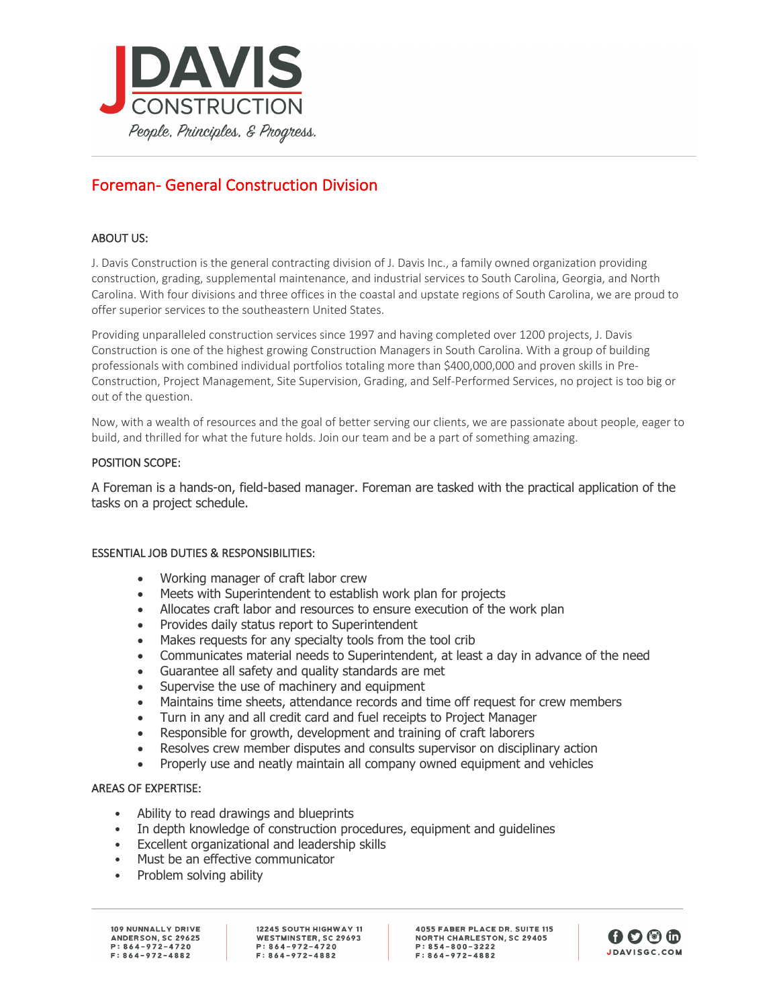

# Foreman- General Construction Division

## ABOUT US:

J. Davis Construction is the general contracting division of J. Davis Inc., a family owned organization providing construction, grading, supplemental maintenance, and industrial services to South Carolina, Georgia, and North Carolina. With four divisions and three offices in the coastal and upstate regions of South Carolina, we are proud to offer superior services to the southeastern United States.

Providing unparalleled construction services since 1997 and having completed over 1200 projects, J. Davis Construction is one of the highest growing Construction Managers in South Carolina. With a group of building professionals with combined individual portfolios totaling more than \$400,000,000 and proven skills in Pre-Construction, Project Management, Site Supervision, Grading, and Self-Performed Services, no project is too big or out of the question.

Now, with a wealth of resources and the goal of better serving our clients, we are passionate about people, eager to build, and thrilled for what the future holds. Join our team and be a part of something amazing.

### POSITION SCOPE:

A Foreman is a hands-on, field-based manager. Foreman are tasked with the practical application of the tasks on a project schedule.

#### ESSENTIAL JOB DUTIES & RESPONSIBILITIES:

- Working manager of craft labor crew
- Meets with Superintendent to establish work plan for projects
- Allocates craft labor and resources to ensure execution of the work plan
- Provides daily status report to Superintendent
- Makes requests for any specialty tools from the tool crib
- Communicates material needs to Superintendent, at least a day in advance of the need
- Guarantee all safety and quality standards are met
- Supervise the use of machinery and equipment
- Maintains time sheets, attendance records and time off request for crew members
- Turn in any and all credit card and fuel receipts to Project Manager
- Responsible for growth, development and training of craft laborers
- Resolves crew member disputes and consults supervisor on disciplinary action
- Properly use and neatly maintain all company owned equipment and vehicles

#### AREAS OF EXPERTISE:

- Ability to read drawings and blueprints
- In depth knowledge of construction procedures, equipment and guidelines
- Excellent organizational and leadership skills
- Must be an effective communicator
- Problem solving ability

109 NUNNALLY DRIVE ANDERSON, SC 29625  $P: 864 - 972 - 4720$  $F: 864 - 972 - 4882$ 

12245 SOUTH HIGHWAY 11 WESTMINSTER, SC 29693  $P: 864 - 972 - 4720$  $F: 864 - 972 - 4882$ 

**4055 FABER PLACE DR. SUITE 115 NORTH CHARLESTON, SC 29405**  $P: 854 - 800 - 3222$  $F: 864 - 972 - 4882$